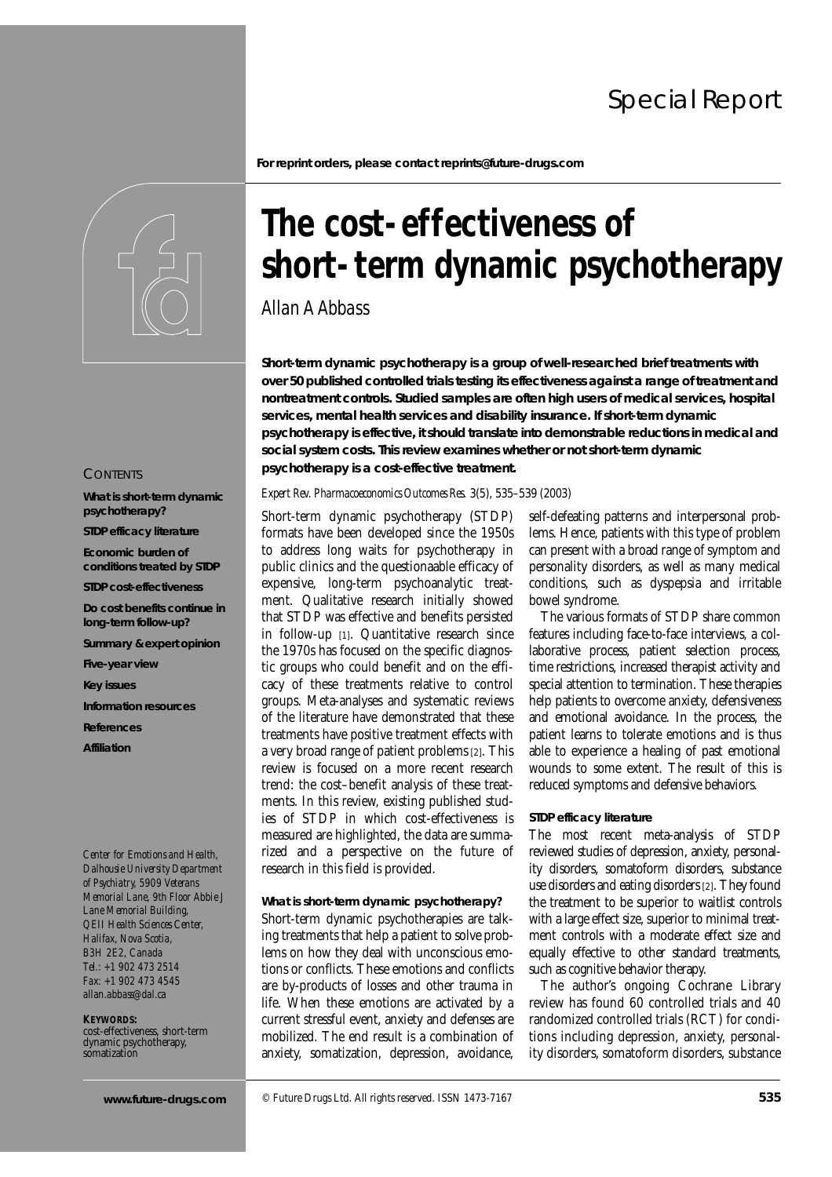**For reprint orders, please contact reprints@future-drugs.com**



#### **CONTENTS**

**What is short-term dynamic psychotherapy?**

**STDP efficacy literature**

**Economic burden of conditions treated by STDP** 

**STDP cost-effectiveness** 

**Do cost benefits continue in long-term follow-up?**

**Summary & expert opinion**

**Five-year view**

**Key issues**

**Information resources**

**References**

**Affiliation**

*Center for Emotions and Health, Dalhousie University Department of Psychiatry, 5909 Veterans Memorial Lane, 9th Floor Abbie J Lane Memorial Building, QEII Health Sciences Center, Halifax, Nova Scotia, B3H 2E2, Canada Tel.: +1 902 473 2514 Fax: +1 902 473 4545 allan.abbass@dal.ca*

**KEYWORDS:**  cost-effectiveness, short-term dynamic psychotherapy, somatization

# **The cost-effectiveness of short-term dynamic psychotherapy**

*Allan A Abbass*

**Short-term dynamic psychotherapy is a group of well-researched brief treatments with over 50 published controlled trials testing its effectiveness against a range of treatment and nontreatment controls. Studied samples are often high users of medical services, hospital services, mental health services and disability insurance. If short-term dynamic psychotherapy is effective, it should translate into demonstrable reductions in medical and social system costs. This review examines whether or not short-term dynamic psychotherapy is a cost-effective treatment.** 

#### *Expert Rev. Pharmacoeconomics Outcomes Res.* 3(5), 535–539 (2003)

Short-term dynamic psychotherapy (STDP) formats have been developed since the 1950s to address long waits for psychotherapy in public clinics and the questionaable efficacy of expensive, long-term psychoanalytic treatment. Qualitative research initially showed that STDP was effective and benefits persisted in follow-up [1]. Quantitative research since the 1970s has focused on the specific diagnostic groups who could benefit and on the efficacy of these treatments relative to control groups. Meta-analyses and systematic reviews of the literature have demonstrated that these treatments have positive treatment effects with a very broad range of patient problems [2]. This review is focused on a more recent research trend: the cost–benefit analysis of these treatments. In this review, existing published studies of STDP in which cost-effectiveness is measured are highlighted, the data are summarized and a perspective on the future of research in this field is provided.

**What is short-term dynamic psychotherapy?**

Short-term dynamic psychotherapies are talking treatments that help a patient to solve problems on how they deal with unconscious emotions or conflicts. These emotions and conflicts are by-products of losses and other trauma in life. When these emotions are activated by a current stressful event, anxiety and defenses are mobilized. The end result is a combination of anxiety, somatization, depression, avoidance, self-defeating patterns and interpersonal problems. Hence, patients with this type of problem can present with a broad range of symptom and personality disorders, as well as many medical conditions, such as dyspepsia and irritable bowel syndrome.

The various formats of STDP share common features including face-to-face interviews, a collaborative process, patient selection process, time restrictions, increased therapist activity and special attention to termination. These therapies help patients to overcome anxiety, defensiveness and emotional avoidance. In the process, the patient learns to tolerate emotions and is thus able to experience a healing of past emotional wounds to some extent. The result of this is reduced symptoms and defensive behaviors.

#### **STDP efficacy literature**

The most recent meta-analysis of STDP reviewed studies of depression, anxiety, personality disorders, somatoform disorders, substance use disorders and eating disorders [2]. They found the treatment to be superior to waitlist controls with a large effect size, superior to minimal treatment controls with a moderate effect size and equally effective to other standard treatments, such as cognitive behavior therapy.

The author's ongoing Cochrane Library review has found 60 controlled trials and 40 randomized controlled trials (RCT) for conditions including depression, anxiety, personality disorders, somatoform disorders, substance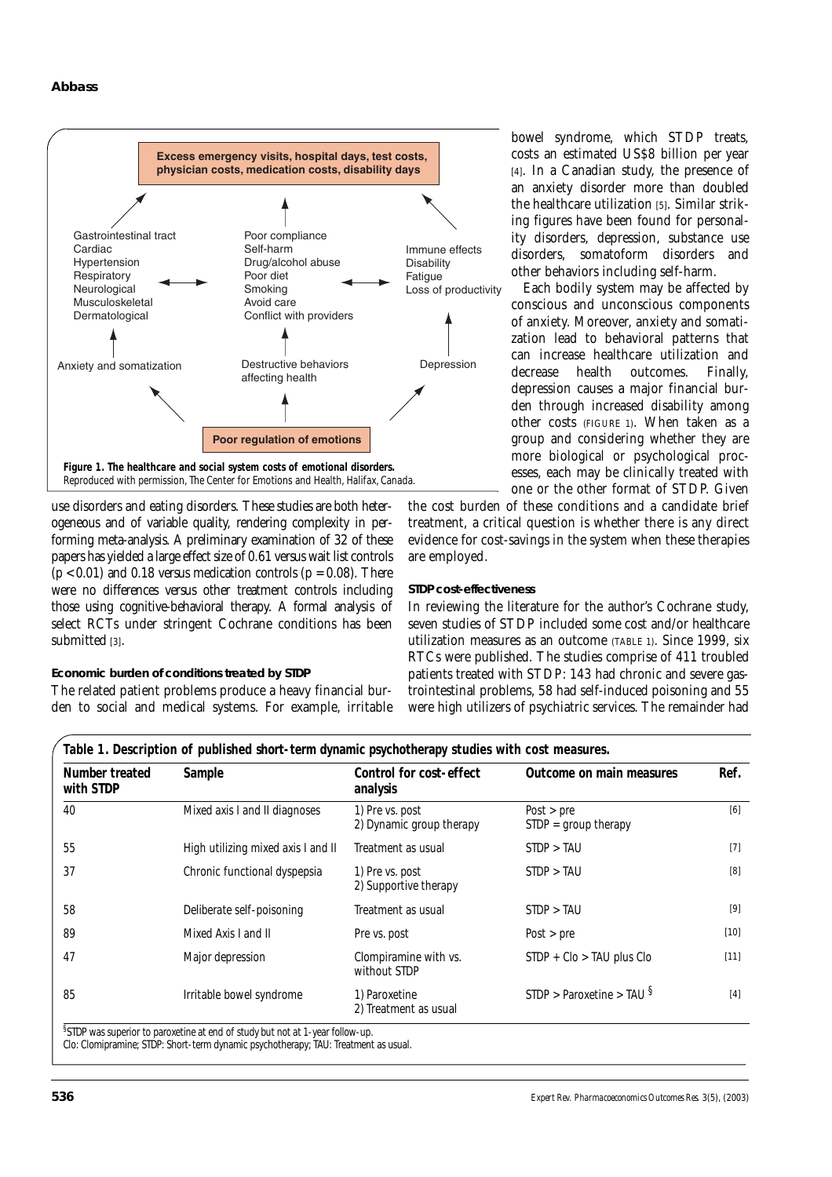

use disorders and eating disorders. These studies are both heterogeneous and of variable quality, rendering complexity in performing meta-analysis. A preliminary examination of 32 of these papers has yielded a large effect size of 0.61 versus wait list controls  $(p < 0.01)$  and 0.18 versus medication controls  $(p = 0.08)$ . There were no differences versus other treatment controls including those using cognitive-behavioral therapy. A formal analysis of select RCTs under stringent Cochrane conditions has been submitted [3].

#### **Economic burden of conditions treated by STDP**

The related patient problems produce a heavy financial burden to social and medical systems. For example, irritable bowel syndrome, which STDP treats, costs an estimated US\$8 billion per year [4]. In a Canadian study, the presence of an anxiety disorder more than doubled the healthcare utilization [5]. Similar striking figures have been found for personality disorders, depression, substance use disorders, somatoform disorders and other behaviors including self-harm.

Each bodily system may be affected by conscious and unconscious components of anxiety. Moreover, anxiety and somatization lead to behavioral patterns that can increase healthcare utilization and decrease health outcomes. Finally, depression causes a major financial burden through increased disability among other costs (FIGURE 1). When taken as a group and considering whether they are more biological or psychological processes, each may be clinically treated with one or the other format of STDP. Given

the cost burden of these conditions and a candidate brief treatment, a critical question is whether there is any direct evidence for cost-savings in the system when these therapies are employed.

#### **STDP cost-effectiveness**

In reviewing the literature for the author's Cochrane study, seven studies of STDP included some cost and/or healthcare utilization measures as an outcome (TABLE 1). Since 1999, six RTCs were published. The studies comprise of 411 troubled patients treated with STDP: 143 had chronic and severe gastrointestinal problems, 58 had self-induced poisoning and 55 were high utilizers of psychiatric services. The remainder had

| Number treated<br>with STDP | Sample                             | Control for cost-effect<br>analysis         | Outcome on main measures              | Ref.   |  |
|-----------------------------|------------------------------------|---------------------------------------------|---------------------------------------|--------|--|
| 40                          | Mixed axis I and II diagnoses      | 1) Pre vs. post<br>2) Dynamic group therapy | Post > pre<br>$STDP = group$ therapy  | [6]    |  |
| 55                          | High utilizing mixed axis I and II | Treatment as usual                          | SIDP > TAU                            | $[7]$  |  |
| 37                          | Chronic functional dyspepsia       | 1) Pre vs. post<br>2) Supportive therapy    | STDP > TAU                            | [8]    |  |
| 58                          | Deliberate self-poisoning          | Treatment as usual                          | STDP > TAU                            | [9]    |  |
| 89                          | Mixed Axis I and II                | Pre vs. post                                | Post > pre                            | [10]   |  |
| 47                          | Major depression                   | Clompiramine with vs.<br>without STDP       | $STDP + CIO > TAU$ plus $CIO$         | $[11]$ |  |
| 85                          | Irritable bowel syndrome           | 1) Paroxetine<br>2) Treatment as usual      | STDP > Paroxetine > TAU $\frac{5}{3}$ | [4]    |  |

§ STDP was superior to paroxetine at end of study but not at 1-year follow-up. Clo: Clomipramine; STDP: Short-term dynamic psychotherapy; TAU: Treatment as usual.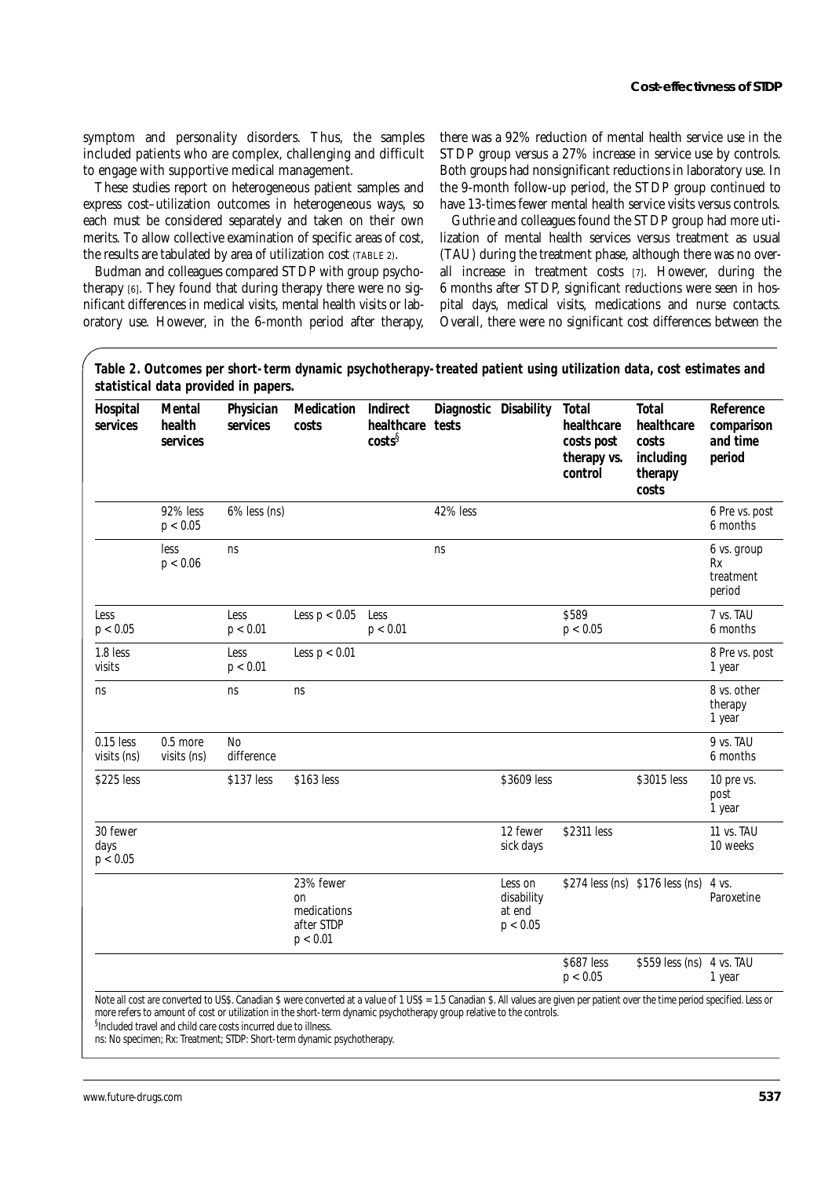symptom and personality disorders. Thus, the samples included patients who are complex, challenging and difficult to engage with supportive medical management.

These studies report on heterogeneous patient samples and express cost–utilization outcomes in heterogeneous ways, so each must be considered separately and taken on their own merits. To allow collective examination of specific areas of cost, the results are tabulated by area of utilization cost (TABLE 2).

Budman and colleagues compared STDP with group psychotherapy [6]. They found that during therapy there were no significant differences in medical visits, mental health visits or laboratory use. However, in the 6-month period after therapy, there was a 92% reduction of mental health service use in the STDP group versus a 27% increase in service use by controls. Both groups had nonsignificant reductions in laboratory use. In the 9-month follow-up period, the STDP group continued to have 13-times fewer mental health service visits versus controls.

Guthrie and colleagues found the STDP group had more utilization of mental health services versus treatment as usual (TAU) during the treatment phase, although there was no overall increase in treatment costs [7]. However, during the 6 months after STDP, significant reductions were seen in hospital days, medical visits, medications and nurse contacts. Overall, there were no significant cost differences between the

**Table 2. Outcomes per short-term dynamic psychotherapy-treated patient using utilization data, cost estimates and statistical data provided in papers.**

| Hospital<br>services         | Mental<br>health<br>services | Physician<br>services   | Medication<br>costs                                      | Indirect<br>healthcare tests<br>costs <sup>§</sup> | Diagnostic Disability |                                             | Total<br>healthcare<br>costs post<br>therapy vs.<br>control | Total<br>healthcare<br>costs<br>including<br>therapy<br>costs | Reference<br>comparison<br>and time<br>period   |
|------------------------------|------------------------------|-------------------------|----------------------------------------------------------|----------------------------------------------------|-----------------------|---------------------------------------------|-------------------------------------------------------------|---------------------------------------------------------------|-------------------------------------------------|
|                              | 92% less<br>p < 0.05         | 6% less (ns)            |                                                          |                                                    | 42% less              |                                             |                                                             |                                                               | 6 Pre vs. post<br>6 months                      |
|                              | less<br>p < 0.06             | ns                      |                                                          |                                                    | ns                    |                                             |                                                             |                                                               | 6 vs. group<br><b>Rx</b><br>treatment<br>period |
| Less<br>p < 0.05             |                              | Less<br>p < 0.01        | Less $p < 0.05$                                          | Less<br>p < 0.01                                   |                       |                                             | \$589<br>p < 0.05                                           |                                                               | 7 vs. TAU<br>6 months                           |
| 1.8 less<br>visits           |                              | Less<br>p < 0.01        | Less $p < 0.01$                                          |                                                    |                       |                                             |                                                             |                                                               | 8 Pre vs. post<br>1 year                        |
| ns                           |                              | ns                      | ns                                                       |                                                    |                       |                                             |                                                             |                                                               | 8 vs. other<br>therapy<br>1 year                |
| $0.15$ less<br>visits (ns)   | 0.5 more<br>visits (ns)      | <b>No</b><br>difference |                                                          |                                                    |                       |                                             |                                                             |                                                               | 9 vs. TAU<br>6 months                           |
| \$225 less                   |                              | \$137 less              | \$163 less                                               |                                                    |                       | \$3609 less                                 |                                                             | \$3015 less                                                   | 10 pre vs.<br>post<br>1 year                    |
| 30 fewer<br>days<br>p < 0.05 |                              |                         |                                                          |                                                    |                       | 12 fewer<br>sick days                       | \$2311 less                                                 |                                                               | 11 vs. TAU<br>10 weeks                          |
|                              |                              |                         | 23% fewer<br>on<br>medications<br>after STDP<br>p < 0.01 |                                                    |                       | Less on<br>disability<br>at end<br>p < 0.05 |                                                             | \$274 less (ns) \$176 less (ns)                               | 4 vs.<br>Paroxetine                             |
|                              |                              |                         |                                                          |                                                    |                       |                                             | \$687 less<br>p < 0.05                                      | \$559 less (ns)                                               | 4 vs. TAU<br>1 year                             |

more refers to amount of cost or utilization in the short-term dynamic psychotherapy group relative to the controls.

§ Included travel and child care costs incurred due to illness.

ns: No specimen; Rx: Treatment; STDP: Short-term dynamic psychotherapy.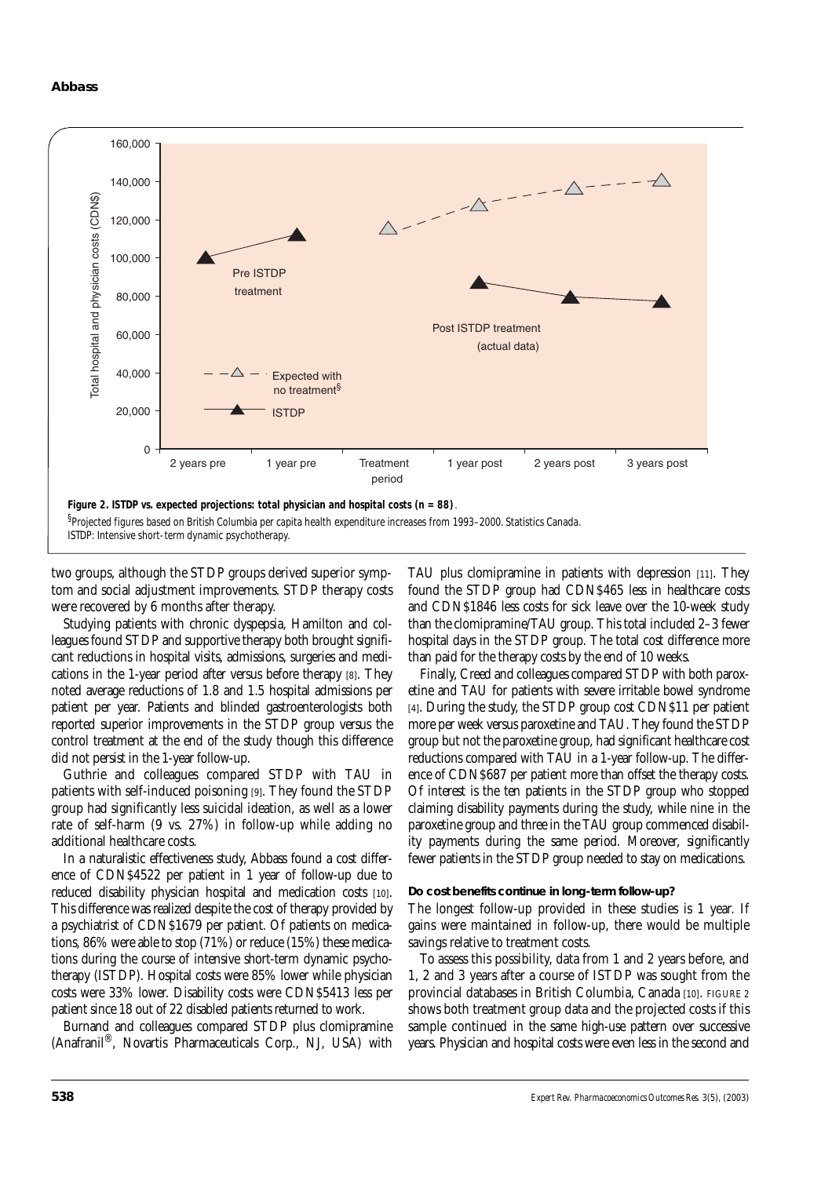

§ Projected figures based on British Columbia per capita health expenditure increases from 1993–2000. Statistics Canada. ISTDP: Intensive short-term dynamic psychotherapy.

two groups, although the STDP groups derived superior symptom and social adjustment improvements. STDP therapy costs were recovered by 6 months after therapy.

Studying patients with chronic dyspepsia, Hamilton and colleagues found STDP and supportive therapy both brought significant reductions in hospital visits, admissions, surgeries and medications in the 1-year period after versus before therapy [8]. They noted average reductions of 1.8 and 1.5 hospital admissions per patient per year. Patients and blinded gastroenterologists both reported superior improvements in the STDP group versus the control treatment at the end of the study though this difference did not persist in the 1-year follow-up.

Guthrie and colleagues compared STDP with TAU in patients with self-induced poisoning [9]. They found the STDP group had significantly less suicidal ideation, as well as a lower rate of self-harm (9 vs. 27%) in follow-up while adding no additional healthcare costs.

In a naturalistic effectiveness study, Abbass found a cost difference of CDN\$4522 per patient in 1 year of follow-up due to reduced disability physician hospital and medication costs [10]. This difference was realized despite the cost of therapy provided by a psychiatrist of CDN\$1679 per patient. Of patients on medications, 86% were able to stop (71%) or reduce (15%) these medications during the course of intensive short-term dynamic psychotherapy (ISTDP). Hospital costs were 85% lower while physician costs were 33% lower. Disability costs were CDN\$5413 less per patient since 18 out of 22 disabled patients returned to work.

Burnand and colleagues compared STDP plus clomipramine (Anafranil®, Novartis Pharmaceuticals Corp., NJ, USA) with

TAU plus clomipramine in patients with depression [11]. They found the STDP group had CDN\$465 less in healthcare costs and CDN\$1846 less costs for sick leave over the 10-week study than the clomipramine/TAU group. This total included 2–3 fewer hospital days in the STDP group. The total cost difference more than paid for the therapy costs by the end of 10 weeks.

Finally, Creed and colleagues compared STDP with both paroxetine and TAU for patients with severe irritable bowel syndrome [4]. During the study, the STDP group cost CDN\$11 per patient more per week versus paroxetine and TAU. They found the STDP group but not the paroxetine group, had significant healthcare cost reductions compared with TAU in a 1-year follow-up. The difference of CDN\$687 per patient more than offset the therapy costs. Of interest is the ten patients in the STDP group who stopped claiming disability payments during the study, while nine in the paroxetine group and three in the TAU group commenced disability payments during the same period. Moreover, significantly fewer patients in the STDP group needed to stay on medications.

**Do cost benefits continue in long-term follow-up?**

The longest follow-up provided in these studies is 1 year. If gains were maintained in follow-up, there would be multiple savings relative to treatment costs.

To assess this possibility, data from 1 and 2 years before, and 1, 2 and 3 years after a course of ISTDP was sought from the provincial databases in British Columbia, Canada [10]. FIGURE 2 shows both treatment group data and the projected costs if this sample continued in the same high-use pattern over successive years. Physician and hospital costs were even less in the second and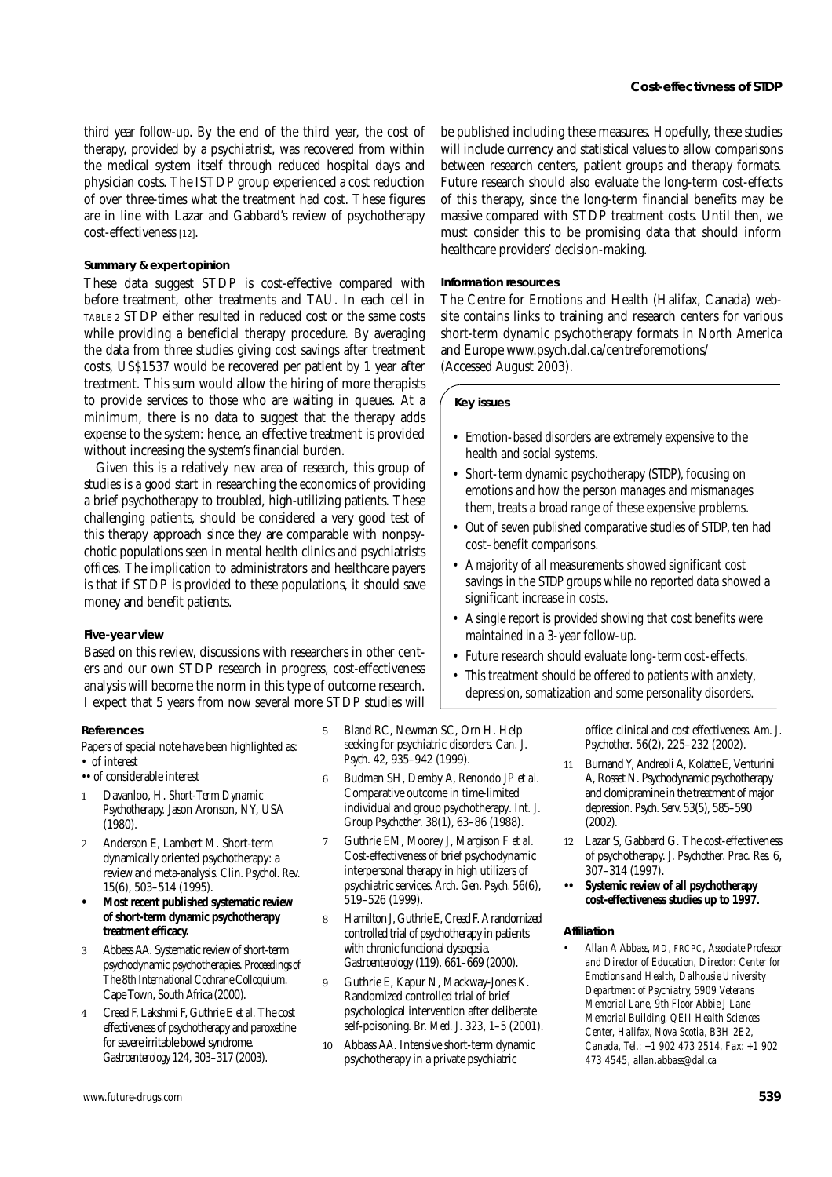third year follow-up. By the end of the third year, the cost of therapy, provided by a psychiatrist, was recovered from within the medical system itself through reduced hospital days and physician costs. The ISTDP group experienced a cost reduction of over three-times what the treatment had cost. These figures are in line with Lazar and Gabbard's review of psychotherapy cost-effectiveness [12].

#### **Summary & expert opinion**

These data suggest STDP is cost-effective compared with before treatment, other treatments and TAU. In each cell in TABLE 2 STDP either resulted in reduced cost or the same costs while providing a beneficial therapy procedure. By averaging the data from three studies giving cost savings after treatment costs, US\$1537 would be recovered per patient by 1 year after treatment. This sum would allow the hiring of more therapists to provide services to those who are waiting in queues. At a minimum, there is no data to suggest that the therapy adds expense to the system: hence, an effective treatment is provided without increasing the system's financial burden.

Given this is a relatively new area of research, this group of studies is a good start in researching the economics of providing a brief psychotherapy to troubled, high-utilizing patients. These challenging patients, should be considered a very good test of this therapy approach since they are comparable with nonpsychotic populations seen in mental health clinics and psychiatrists offices. The implication to administrators and healthcare payers is that if STDP is provided to these populations, it should save money and benefit patients.

#### **Five-year view**

Based on this review, discussions with researchers in other centers and our own STDP research in progress, cost-effectiveness analysis will become the norm in this type of outcome research. I expect that 5 years from now several more STDP studies will

#### **References**

Papers of special note have been highlighted as:

- of interest
- •• of considerable interest
- 1 Davanloo, H. *Short-Term Dynamic Psychotherapy.* Jason Aronson, NY, USA (1980).
- 2 Anderson E, Lambert M. Short-term dynamically oriented psychotherapy: a review and meta-analysis. *Clin. Psychol. Rev.* 15(6), 503–514 (1995).
- **Most recent published systematic review of short-term dynamic psychotherapy treatment efficacy.**
- 3 Abbass AA. Systematic review of short-term psychodynamic psychotherapies. *Proceedings of The 8th International Cochrane Colloquium*. Cape Town, South Africa (2000).
- 4 Creed F, Lakshmi F, Guthrie E *et al.* The cost effectiveness of psychotherapy and paroxetine for severe irritable bowel syndrome. *Gastroenterology* 124, 303–317 (2003).
- 5 Bland RC, Newman SC, Orn H. Help seeking for psychiatric disorders. *Can. J. Psych.* 42, 935–942 (1999).
- 6 Budman SH, Demby A, Renondo JP *et al.* Comparative outcome in time-limited individual and group psychotherapy. *Int. J. Group Psychother*. 38(1), 63–86 (1988).
- 7 Guthrie EM, Moorey J, Margison F *et al.* Cost-effectiveness of brief psychodynamic interpersonal therapy in high utilizers of psychiatric services. *Arch. Gen. Psych.* 56(6), 519–526 (1999).
- 8 Hamilton J, Guthrie E, Creed F. A randomized controlled trial of psychotherapy in patients with chronic functional dyspepsia. *Gastroenterol*ogy (119), 661–669 (2000).
- 9 Guthrie E, Kapur N, Mackway-Jones K. Randomized controlled trial of brief psychological intervention after deliberate self-poisoning. *Br. Med. J*. 323, 1–5 (2001).
- 10 Abbass AA. Intensive short-term dynamic psychotherapy in a private psychiatric

be published including these measures. Hopefully, these studies will include currency and statistical values to allow comparisons between research centers, patient groups and therapy formats. Future research should also evaluate the long-term cost-effects of this therapy, since the long-term financial benefits may be massive compared with STDP treatment costs. Until then, we must consider this to be promising data that should inform healthcare providers' decision-making.

#### **Information resources**

The Centre for Emotions and Health (Halifax, Canada) website contains links to training and research centers for various short-term dynamic psychotherapy formats in North America and Europe www.psych.dal.ca/centreforemotions/ (Accessed August 2003).

#### **Key issues**

- Emotion-based disorders are extremely expensive to the health and social systems.
- Short-term dynamic psychotherapy (STDP), focusing on emotions and how the person manages and mismanages them, treats a broad range of these expensive problems.
- Out of seven published comparative studies of STDP, ten had cost–benefit comparisons.
- A majority of all measurements showed significant cost savings in the STDP groups while no reported data showed a significant increase in costs.
- A single report is provided showing that cost benefits were maintained in a 3-year follow-up.
- Future research should evaluate long-term cost-effects.
- This treatment should be offered to patients with anxiety, depression, somatization and some personality disorders.

office: clinical and cost effectiveness. *Am. J. Psychother.* 56(2), 225–232 (2002).

- 11 Burnand Y, Andreoli A, Kolatte E, Venturini A, Rosset N. Psychodynamic psychotherapy and clomipramine in the treatment of major depression. *Psych. Serv.* 53(5), 585–590 (2002).
- 12 Lazar S, Gabbard G. The cost-effectiveness of psychotherapy. *J. Psychother. Prac. Res.* 6, 307–314 (1997).
- **•• Systemic review of all psychotherapy cost-effectiveness studies up to 1997.**

#### **Affiliation**

*• Allan A Abbass, MD, FRCPC, Associate Professor and Director of Education, Director: Center for Emotions and Health, Dalhousie University Department of Psychiatry, 5909 Veterans Memorial Lane, 9th Floor Abbie J Lane Memorial Building, QEII Health Sciences Center, Halifax, Nova Scotia, B3H 2E2, Canada, Tel.: +1 902 473 2514, Fax: +1 902 473 4545, allan.abbass@dal.ca*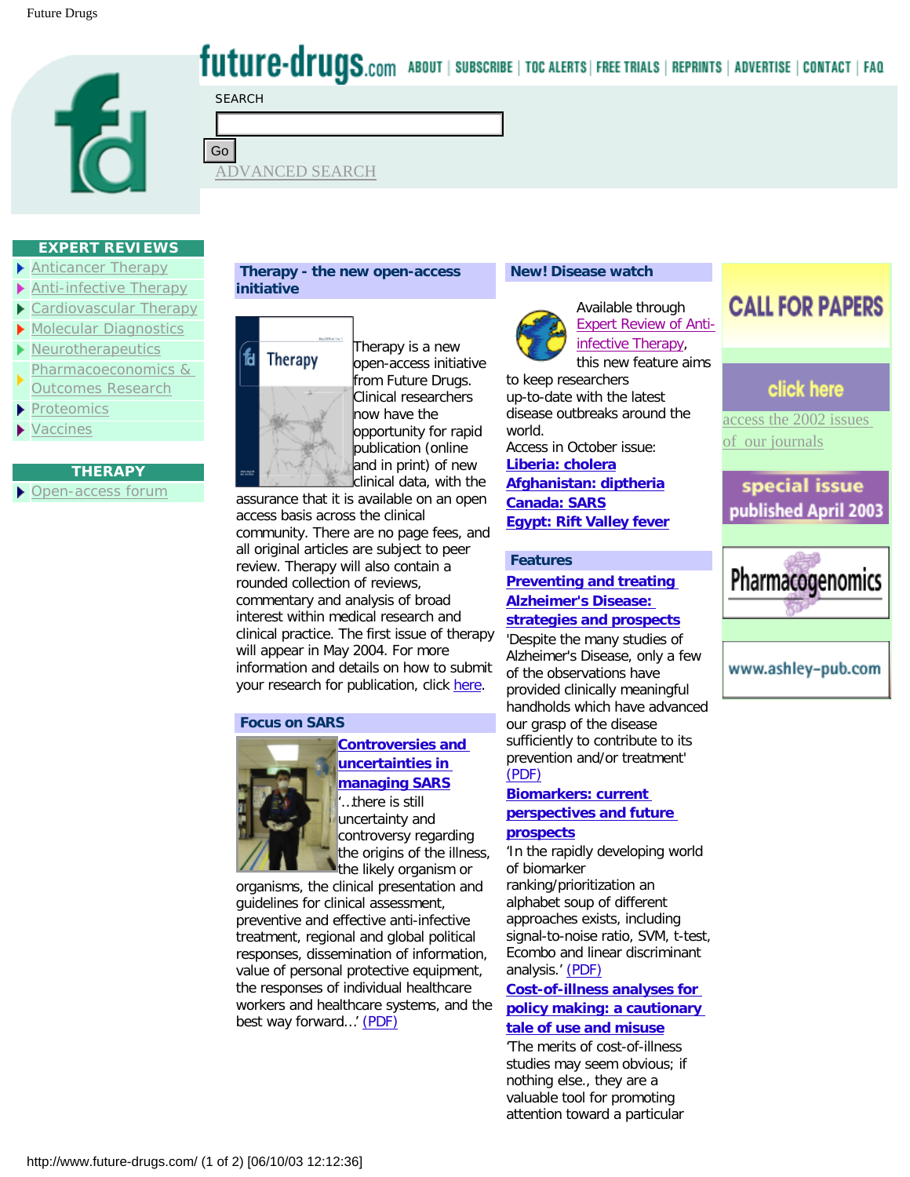<span id="page-5-0"></span>

## future-drugs.com About | Subscribe | Toc Alerts | Free Trials | Reprints | Advertise | Contact | FAQ

#### **SEARCH**

[ADVANCED SEARCH](http://www.areza.com/fdnew/search_advanced.asp)

#### **EXPERT REVIEWS**

- [Anticancer Therapy](http://www.future-drugs.com/publication.asp?publicationid=1)
- [Anti-infective Therapy](http://www.future-drugs.com/publication.asp?publicationid=7)
- [Cardiovascular Therapy](http://www.future-drugs.com/publication.asp?publicationid=2)
- [Molecular Diagnostics](http://www.future-drugs.com/publication.asp?publicationid=3) Þ
- [Neurotherapeutics](http://www.future-drugs.com/publication.asp?publicationid=4)
- [Pharmacoeconomics &](http://www.future-drugs.com/publication.asp?publicationid=5) [Outcomes Research](http://www.future-drugs.com/publication.asp?publicationid=5)
- **[Proteomics](http://www.future-drugs.com/publication.asp?publicationid=9)** Þ
- [Vaccines](http://www.future-drugs.com/publication.asp?publicationid=6)
- 

#### **THERAPY**

[Open-access forum](http://www.future-drugs.com/publication.asp?publicationid=10)

#### **Therapy - the new open-access initiative**



Therapy is a new open-access initiative from Future Drugs. Clinical researchers now have the [o](http://www.future-drugs.com/publication.asp?publicationid=10)pportunity for rapid publication (online and in print) of new clinical data, with the

assurance that it is available on an open access basis across the clinical community. There are no page fees, and all original articles are subject to peer review. Therapy will also contain a rounded collection of reviews, commentary and analysis of broad interest within medical research and clinical practice. The first issue of therapy will appear in May 2004. For more information and details on how to submit your research for publication, click [here.](http://www.future-drugs.com/publication.asp?publicationid=10) **EXTERT REVIEWS**<br>
Anti-Infective Therapy<br>
Anti-Infective Therapy<br>
Cardioxascular Therapy<br>
Melecular Diagnostics<br>
Determesceonomics &<br>
Dutcomes Research<br>
Protecomics<br>
THERAPY<br>
Open-access forum<br>
THERAPY<br>
Comparison and a su

#### **Focus on SARS**



**[Controversies and](http://www.future-drugs.com/Iparticle.asp?publicationid=7&articleid=840)  [uncertainties in](http://www.future-drugs.com/Iparticle.asp?publicationid=7&articleid=840)  [managing SARS](http://www.future-drugs.com/Iparticle.asp?publicationid=7&articleid=840)**

'…there is still uncertainty and controversy regarding the origins of the illness, the likely organism or

organisms, the clinical presentation and guidelines for clinical assessment, preventive and effective anti-infective treatment, regional and global political responses, dissemination of information, value of personal protective equipment, the responses of individual healthcare workers and healthcare systems, and the best way forward…' [\(PDF\)](http://www.future-drugs.com/admin/articlefile/ERAIT010201.pdf)

#### **New! Disease watch**



Available through [Expert Review of Anti](http://www.future-drugs.com/publication.asp?publicationid=7)[infective Therapy,](http://www.future-drugs.com/publication.asp?publicationid=7)

this new feature aims to keep researchers

up-to-date with the latest disease outbreaks around the world.

Access in October issue: **[Liberia: cholera](http://www.future-drugs.com/publication.asp?publicationid=7#Lib) [Afghanistan: diptheria](http://www.future-drugs.com/publication.asp?publicationid=7#Afg) [Canada: SARS](http://www.future-drugs.com/publication.asp?publicationid=7#Can) [Egypt: Rift Valley fever](http://www.future-drugs.com/publication.asp?publicationid=7#Egy)**

#### **Features**

**[Preventing and treating](http://www.future-drugs.com/Iparticle.asp?publicationid=4&articleid=915) [Alzheimer's Disease:](http://www.future-drugs.com/Iparticle.asp?publicationid=4&articleid=915)  [strategies and prospects](http://www.future-drugs.com/Iparticle.asp?publicationid=4&articleid=915)**

'Despite the many studies of Alzheimer's Disease, only a few of the observations have provided clinically meaningful handholds which have advanced our grasp of the disease sufficiently to contribute to its prevention and/or treatment' [\(PDF\)](http://www.future-drugs.com/admin/articlefile/ERNT030501.pdf)

**[Biomarkers: current](http://www.future-drugs.com/Iparticle.asp?publicationid=3&articleid=914) [perspectives and future](http://www.future-drugs.com/Iparticle.asp?publicationid=3&articleid=914) [prospects](http://www.future-drugs.com/Iparticle.asp?publicationid=3&articleid=914)**

'In the rapidly developing world of biomarker ranking/prioritization an alphabet soup of different approaches exists, including signal-to-noise ratio, SVM, t-test, Ecombo and linear discriminant analysis.' [\(PDF\)](http://www.future-drugs.com/admin/articlefile/ERMD030501.pdf)

#### **[Cost-of-illness analyses for](http://www.future-drugs.com/Iparticle.asp?publicationid=5&articleid=872)  [policy making: a cautionary](http://www.future-drugs.com/Iparticle.asp?publicationid=5&articleid=872) [tale of use and misuse](http://www.future-drugs.com/Iparticle.asp?publicationid=5&articleid=872)**

'The merits of cost-of-illness studies may seem obvious; if nothing else., they are a valuable tool for promoting attention toward a particular

## **CALL FOR PAPERS**

#### click here

[access the 2002 issues](http://www.future-drugs.com/samplestrials.asp) [of our journals](http://www.future-drugs.com/samplestrials.asp)

### special issue published April 2003



www.ashley-pub.com